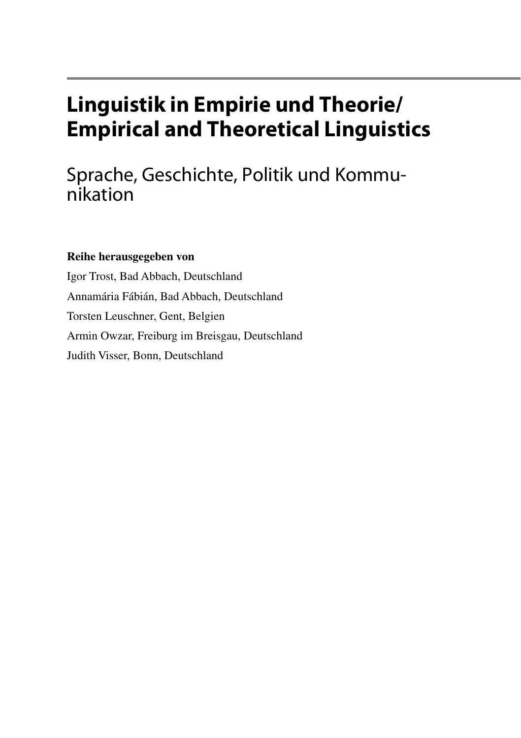# **Linguistik in Empirie und Theorie/ Empirical and Theoretical Linguistics**

Sprache, Geschichte, Politik und Kommunikation

### **Reihe herausgegeben von**

Igor Trost, Bad Abbach, Deutschland Annamária Fábián, Bad Abbach, Deutschland Torsten Leuschner, Gent, Belgien Armin Owzar, Freiburg im Breisgau, Deutschland Judith Visser, Bonn, Deutschland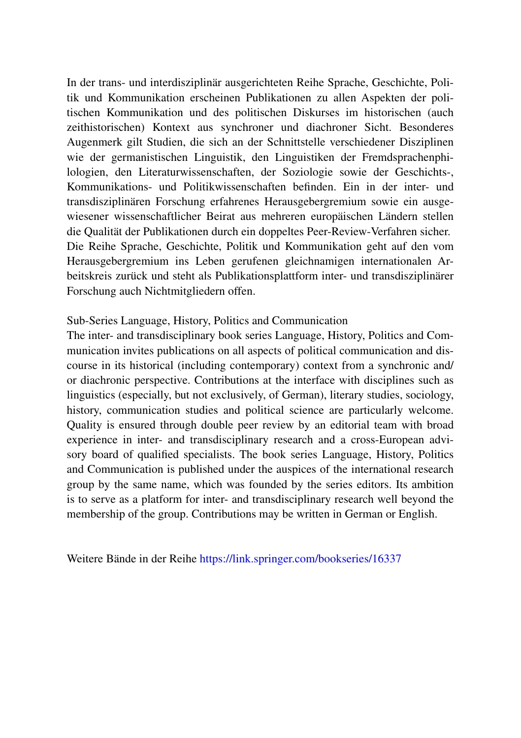In der trans- und interdisziplinär ausgerichteten Reihe Sprache, Geschichte, Politik und Kommunikation erscheinen Publikationen zu allen Aspekten der politischen Kommunikation und des politischen Diskurses im historischen (auch zeithistorischen) Kontext aus synchroner und diachroner Sicht. Besonderes Augenmerk gilt Studien, die sich an der Schnittstelle verschiedener Disziplinen wie der germanistischen Linguistik, den Linguistiken der Fremdsprachenphilologien, den Literaturwissenschaften, der Soziologie sowie der Geschichts-, Kommunikations- und Politikwissenschaften befnden. Ein in der inter- und transdisziplinären Forschung erfahrenes Herausgebergremium sowie ein ausgewiesener wissenschaftlicher Beirat aus mehreren europäischen Ländern stellen die Qualität der Publikationen durch ein doppeltes Peer-Review-Verfahren sicher. Die Reihe Sprache, Geschichte, Politik und Kommunikation geht auf den vom Herausgebergremium ins Leben gerufenen gleichnamigen internationalen Arbeitskreis zurück und steht als Publikationsplattform inter- und transdisziplinärer Forschung auch Nichtmitgliedern offen.

#### Sub-Series Language, History, Politics and Communication

The inter- and transdisciplinary book series Language, History, Politics and Communication invites publications on all aspects of political communication and discourse in its historical (including contemporary) context from a synchronic and/ or diachronic perspective. Contributions at the interface with disciplines such as linguistics (especially, but not exclusively, of German), literary studies, sociology, history, communication studies and political science are particularly welcome. Quality is ensured through double peer review by an editorial team with broad experience in inter- and transdisciplinary research and a cross-European advisory board of qualifed specialists. The book series Language, History, Politics and Communication is published under the auspices of the international research group by the same name, which was founded by the series editors. Its ambition is to serve as a platform for inter- and transdisciplinary research well beyond the membership of the group. Contributions may be written in German or English.

Weitere Bände in der Reihe https://link.springer.com/bookseries/16337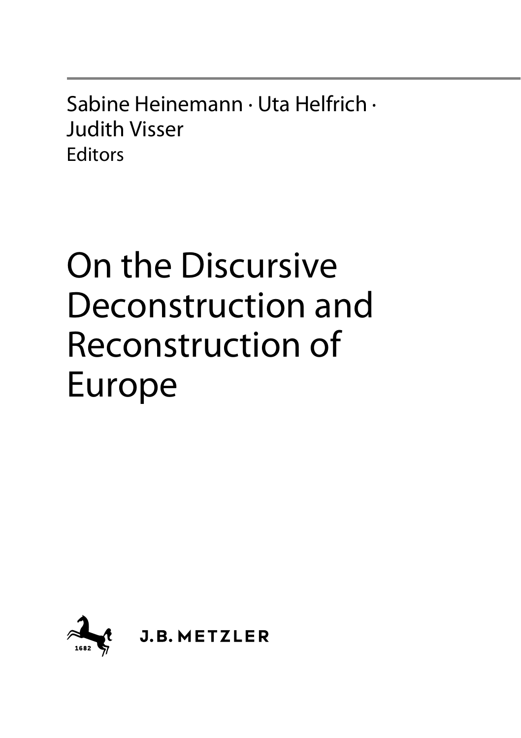Sabine Heinemann · Uta Helfrich · Judith Visser **Editors** 

# On the Discursive Deconstruction and Reconstruction of Europe

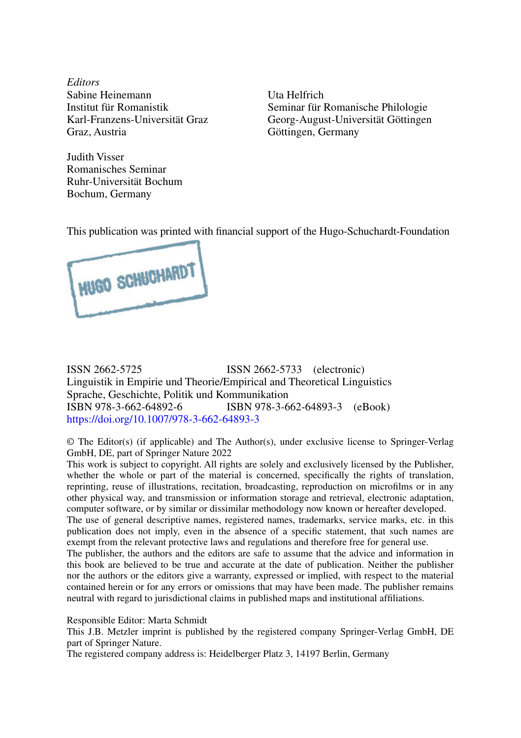*Editors* Sabine Heinemann Institut für Romanistik Karl-Franzens-Universität Graz Graz, Austria

Uta Helfrich Seminar für Romanische Philologie Georg-August-Universität Göttingen Göttingen, Germany

Judith Visser Romanisches Seminar Ruhr-Universität Bochum Bochum, Germany

This publication was printed with fnancial support of the Hugo-Schuchardt-Foundation



ISSN 2662-5725 ISSN 2662-5733 (electronic) Linguistik in Empirie und Theorie/Empirical and Theoretical Linguistics Sprache, Geschichte, Politik und Kommunikation ISBN 978-3-662-64892-6 ISBN 978-3-662-64893-3 (eBook) https://doi.org/10.1007/978-3-662-64893-3

© The Editor(s) (if applicable) and The Author(s), under exclusive license to Springer-Verlag GmbH, DE, part of Springer Nature 2022

This work is subject to copyright. All rights are solely and exclusively licensed by the Publisher, whether the whole or part of the material is concerned, specifically the rights of translation, reprinting, reuse of illustrations, recitation, broadcasting, reproduction on microflms or in any other physical way, and transmission or information storage and retrieval, electronic adaptation, computer software, or by similar or dissimilar methodology now known or hereafter developed. The use of general descriptive names, registered names, trademarks, service marks, etc. in this publication does not imply, even in the absence of a specifc statement, that such names are exempt from the relevant protective laws and regulations and therefore free for general use. The publisher, the authors and the editors are safe to assume that the advice and information in

this book are believed to be true and accurate at the date of publication. Neither the publisher nor the authors or the editors give a warranty, expressed or implied, with respect to the material contained herein or for any errors or omissions that may have been made. The publisher remains neutral with regard to jurisdictional claims in published maps and institutional affliations.

Responsible Editor: Marta Schmidt

This J.B. Metzler imprint is published by the registered company Springer-Verlag GmbH, DE part of Springer Nature.

The registered company address is: Heidelberger Platz 3, 14197 Berlin, Germany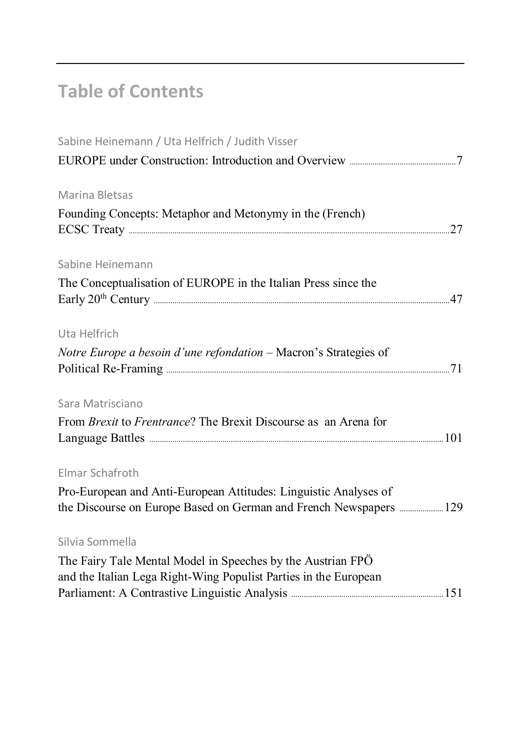## **Table of Contents**

| Sabine Heinemann / Uta Helfrich / Judith Visser                                                                                        |  |
|----------------------------------------------------------------------------------------------------------------------------------------|--|
|                                                                                                                                        |  |
| Marina Bletsas                                                                                                                         |  |
| Founding Concepts: Metaphor and Metonymy in the (French)                                                                               |  |
| Sabine Heinemann                                                                                                                       |  |
| The Conceptualisation of EUROPE in the Italian Press since the                                                                         |  |
| Uta Helfrich                                                                                                                           |  |
| Notre Europe a besoin d'une refondation - Macron's Strategies of                                                                       |  |
| Sara Matrisciano                                                                                                                       |  |
| From <i>Brexit</i> to <i>Frentrance</i> ? The Brexit Discourse as an Arena for                                                         |  |
| Elmar Schafroth                                                                                                                        |  |
| Pro-European and Anti-European Attitudes: Linguistic Analyses of<br>the Discourse on Europe Based on German and French Newspapers  129 |  |
| Silvia Sommella                                                                                                                        |  |
| The Fairy Tale Mental Model in Speeches by the Austrian FPÖ<br>and the Italian Lega Right-Wing Populist Parties in the European        |  |
|                                                                                                                                        |  |